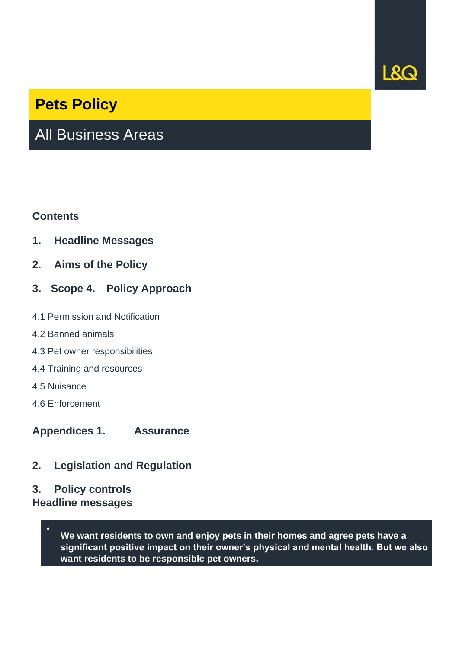

## **Pets Policy**

# All Business Areas

#### **Contents**

- **1. Headline Messages**
- **2. Aims of the Policy**
- **3. Scope 4. Policy Approach**
- 4.1 Permission and Notification
- 4.2 Banned animals
- 4.3 Pet owner responsibilities
- 4.4 Training and resources
- 4.5 Nuisance
- 4.6 Enforcement
- **Appendices 1. Assurance**
- **2. Legislation and Regulation**
- **3. Policy controls**
- **Headline messages**
	- **We want residents to own and enjoy pets in their homes and agree pets have a significant positive impact on their owner's physical and mental health. But we also want residents to be responsible pet owners.**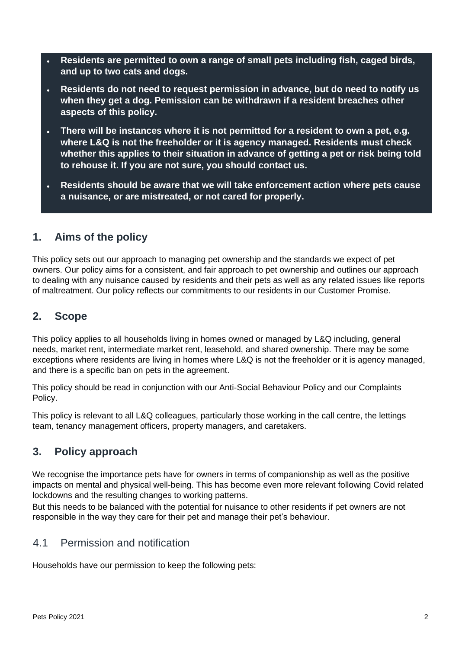- **Residents are permitted to own a range of small pets including fish, caged birds, and up to two cats and dogs.**
- **Residents do not need to request permission in advance, but do need to notify us when they get a dog. Pemission can be withdrawn if a resident breaches other aspects of this policy.**
- **There will be instances where it is not permitted for a resident to own a pet, e.g. where L&Q is not the freeholder or it is agency managed. Residents must check whether this applies to their situation in advance of getting a pet or risk being told to rehouse it. If you are not sure, you should contact us.**
- **Residents should be aware that we will take enforcement action where pets cause a nuisance, or are mistreated, or not cared for properly.**

## **1. Aims of the policy**

This policy sets out our approach to managing pet ownership and the standards we expect of pet owners. Our policy aims for a consistent, and fair approach to pet ownership and outlines our approach to dealing with any nuisance caused by residents and their pets as well as any related issues like reports of maltreatment. Our policy reflects our commitments to our residents in our Customer Promise.

## **2. Scope**

This policy applies to all households living in homes owned or managed by L&Q including, general needs, market rent, intermediate market rent, leasehold, and shared ownership. There may be some exceptions where residents are living in homes where L&Q is not the freeholder or it is agency managed, and there is a specific ban on pets in the agreement.

This policy should be read in conjunction with our Anti-Social Behaviour Policy and our Complaints Policy.

This policy is relevant to all L&Q colleagues, particularly those working in the call centre, the lettings team, tenancy management officers, property managers, and caretakers.

## **3. Policy approach**

We recognise the importance pets have for owners in terms of companionship as well as the positive impacts on mental and physical well-being. This has become even more relevant following Covid related lockdowns and the resulting changes to working patterns.

But this needs to be balanced with the potential for nuisance to other residents if pet owners are not responsible in the way they care for their pet and manage their pet's behaviour.

#### 4.1 Permission and notification

Households have our permission to keep the following pets: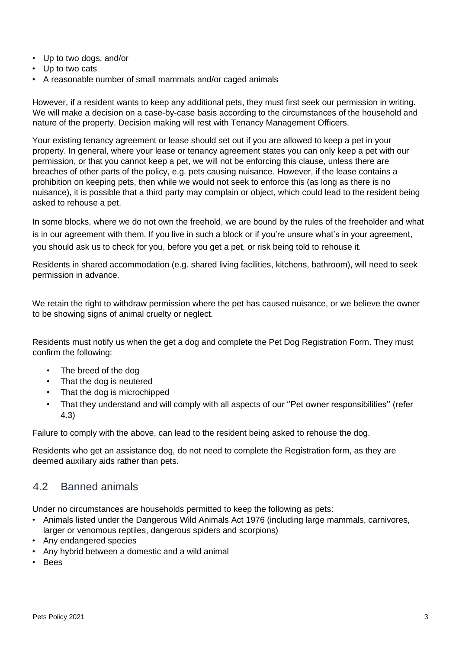- Up to two dogs, and/or
- Up to two cats
- A reasonable number of small mammals and/or caged animals

However, if a resident wants to keep any additional pets, they must first seek our permission in writing. We will make a decision on a case-by-case basis according to the circumstances of the household and nature of the property. Decision making will rest with Tenancy Management Officers.

Your existing tenancy agreement or lease should set out if you are allowed to keep a pet in your property. In general, where your lease or tenancy agreement states you can only keep a pet with our permission, or that you cannot keep a pet, we will not be enforcing this clause, unless there are breaches of other parts of the policy, e.g. pets causing nuisance. However, if the lease contains a prohibition on keeping pets, then while we would not seek to enforce this (as long as there is no nuisance), it is possible that a third party may complain or object, which could lead to the resident being asked to rehouse a pet.

In some blocks, where we do not own the freehold, we are bound by the rules of the freeholder and what is in our agreement with them. If you live in such a block or if you're unsure what's in your agreement, you should ask us to check for you, before you get a pet, or risk being told to rehouse it.

Residents in shared accommodation (e.g. shared living facilities, kitchens, bathroom), will need to seek permission in advance.

We retain the right to withdraw permission where the pet has caused nuisance, or we believe the owner to be showing signs of animal cruelty or neglect.

Residents must notify us when the get a dog and complete the Pet Dog Registration Form. They must confirm the following:

- The breed of the dog
- That the dog is neutered
- That the dog is microchipped
- That they understand and will comply with all aspects of our ''Pet owner responsibilities'' (refer 4.3)

Failure to comply with the above, can lead to the resident being asked to rehouse the dog.

Residents who get an assistance dog, do not need to complete the Registration form, as they are deemed auxiliary aids rather than pets.

#### 4.2 Banned animals

Under no circumstances are households permitted to keep the following as pets:

- Animals listed under the Dangerous Wild Animals Act 1976 (including large mammals, carnivores, larger or venomous reptiles, dangerous spiders and scorpions)
- Any endangered species
- Any hybrid between a domestic and a wild animal
- Bees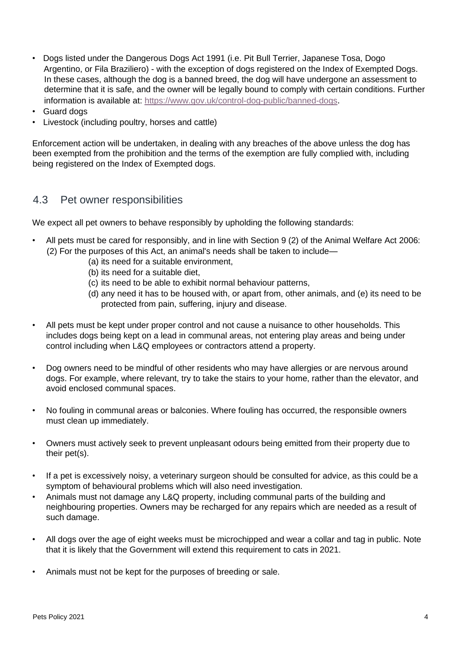- Dogs listed under the Dangerous Dogs Act 1991 (i.e. Pit Bull Terrier, Japanese Tosa, Dogo Argentino, or Fila Braziliero) - with the exception of dogs registered on the Index of Exempted Dogs. In these cases, although the dog is a banned breed, the dog will have undergone an assessment to determine that it is safe, and the owner will be legally bound to comply with certain conditions. Further information is available at[:](https://www.gov.uk/control-dog-public/banned-dogs) <https://www.gov.uk/control-dog-public/banned-dogs>[.](https://www.gov.uk/control-dog-public/banned-dogs)
- Guard dogs
- Livestock (including poultry, horses and cattle)

Enforcement action will be undertaken, in dealing with any breaches of the above unless the dog has been exempted from the prohibition and the terms of the exemption are fully complied with, including being registered on the Index of Exempted dogs.

#### 4.3 Pet owner responsibilities

We expect all pet owners to behave responsibly by upholding the following standards:

- All pets must be cared for responsibly, and in line with Section 9 (2) of the Animal Welfare Act 2006: (2) For the purposes of this Act, an animal's needs shall be taken to include—
	- (a) its need for a suitable environment,
	- (b) its need for a suitable diet,
	- (c) its need to be able to exhibit normal behaviour patterns,
	- (d) any need it has to be housed with, or apart from, other animals, and (e) its need to be protected from pain, suffering, injury and disease.
- All pets must be kept under proper control and not cause a nuisance to other households. This includes dogs being kept on a lead in communal areas, not entering play areas and being under control including when L&Q employees or contractors attend a property.
- Dog owners need to be mindful of other residents who may have allergies or are nervous around dogs. For example, where relevant, try to take the stairs to your home, rather than the elevator, and avoid enclosed communal spaces.
- No fouling in communal areas or balconies. Where fouling has occurred, the responsible owners must clean up immediately.
- Owners must actively seek to prevent unpleasant odours being emitted from their property due to their pet(s).
- If a pet is excessively noisy, a veterinary surgeon should be consulted for advice, as this could be a symptom of behavioural problems which will also need investigation.
- Animals must not damage any L&Q property, including communal parts of the building and neighbouring properties. Owners may be recharged for any repairs which are needed as a result of such damage.
- All dogs over the age of eight weeks must be microchipped and wear a collar and tag in public. Note that it is likely that the Government will extend this requirement to cats in 2021.
- Animals must not be kept for the purposes of breeding or sale.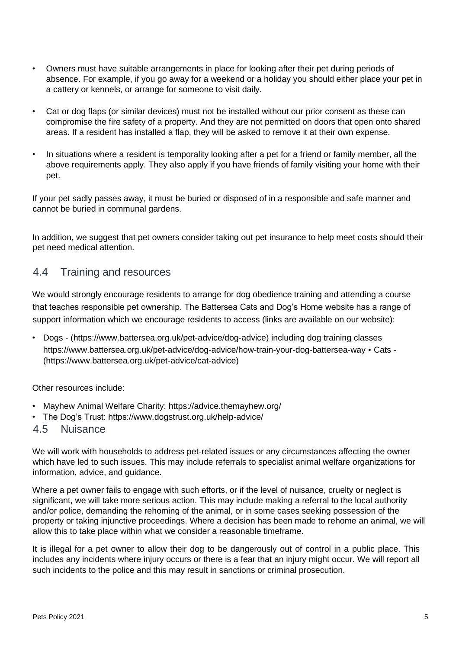- Owners must have suitable arrangements in place for looking after their pet during periods of absence. For example, if you go away for a weekend or a holiday you should either place your pet in a cattery or kennels, or arrange for someone to visit daily.
- Cat or dog flaps (or similar devices) must not be installed without our prior consent as these can compromise the fire safety of a property. And they are not permitted on doors that open onto shared areas. If a resident has installed a flap, they will be asked to remove it at their own expense.
- In situations where a resident is temporality looking after a pet for a friend or family member, all the above requirements apply. They also apply if you have friends of family visiting your home with their pet.

If your pet sadly passes away, it must be buried or disposed of in a responsible and safe manner and cannot be buried in communal gardens.

In addition, we suggest that pet owners consider taking out pet insurance to help meet costs should their pet need medical attention.

#### 4.4 Training and resources

We would strongly encourage residents to arrange for dog obedience training and attending a course that teaches responsible pet ownership. The Battersea Cats and Dog's Home website has a range of support information which we encourage residents to access (links are available on our website):

• Dogs - [\(https://www.battersea.org.uk/pet-advice/dog-advice\)](https://eur03.safelinks.protection.outlook.com/?url=https%3A%2F%2Fwww.battersea.org.uk%2Fpet-advice%2Fdog-advice&data=04%7C01%7Ctpowell%40lqgroup.org.uk%7C89c600b2d62c4de5f56008d93185ece3%7C98d94a17168648bdb71287295b8149d5%7C0%7C1%7C637595273680895302%7CUnknown%7CTWFpbGZsb3d8eyJWIjoiMC4wLjAwMDAiLCJQIjoiV2luMzIiLCJBTiI6Ik1haWwiLCJXVCI6Mn0%3D%7C1000&sdata=hfCunL2%2BIXK%2FeyHM%2FvlicfuHZbjoBZt48yThhe6%2Fh7M%3D&reserved=0) including dog training classes [https://www.battersea.org.uk/pet-advice/dog-advice/how-train-your-dog-battersea-way](https://eur03.safelinks.protection.outlook.com/?url=https%3A%2F%2Fwww.battersea.org.uk%2Fpet-advice%2Fdog-advice%2Fhow-train-your-dog-battersea-way&data=04%7C01%7Ctpowell%40lqgroup.org.uk%7C89c600b2d62c4de5f56008d93185ece3%7C98d94a17168648bdb71287295b8149d5%7C0%7C1%7C637595273680905250%7CUnknown%7CTWFpbGZsb3d8eyJWIjoiMC4wLjAwMDAiLCJQIjoiV2luMzIiLCJBTiI6Ik1haWwiLCJXVCI6Mn0%3D%7C1000&sdata=mJvmCs3OVqxeYo7WZyB5idPA9vA21TQSeia0UKBNySg%3D&reserved=0) [•](https://eur03.safelinks.protection.outlook.com/?url=https%3A%2F%2Fwww.battersea.org.uk%2Fpet-advice%2Fdog-advice%2Fhow-train-your-dog-battersea-way&data=04%7C01%7Ctpowell%40lqgroup.org.uk%7C89c600b2d62c4de5f56008d93185ece3%7C98d94a17168648bdb71287295b8149d5%7C0%7C1%7C637595273680905250%7CUnknown%7CTWFpbGZsb3d8eyJWIjoiMC4wLjAwMDAiLCJQIjoiV2luMzIiLCJBTiI6Ik1haWwiLCJXVCI6Mn0%3D%7C1000&sdata=mJvmCs3OVqxeYo7WZyB5idPA9vA21TQSeia0UKBNySg%3D&reserved=0) Cats - [\(https://www.battersea.org.uk/pet-advice/cat-advice\)](https://eur03.safelinks.protection.outlook.com/?url=https%3A%2F%2Fwww.battersea.org.uk%2Fpet-advice%2Fcat-advice&data=04%7C01%7Ctpowell%40lqgroup.org.uk%7C89c600b2d62c4de5f56008d93185ece3%7C98d94a17168648bdb71287295b8149d5%7C0%7C1%7C637595273680905250%7CUnknown%7CTWFpbGZsb3d8eyJWIjoiMC4wLjAwMDAiLCJQIjoiV2luMzIiLCJBTiI6Ik1haWwiLCJXVCI6Mn0%3D%7C1000&sdata=c57J7aJc2KVvSrxLvWlziv35ghpNPtmS9OmRRsBD0r0%3D&reserved=0)

Other resources include:

- Mayhew Animal Welfare Charity[:](https://advice.themayhew.org/) <https://advice.themayhew.org/>
- The Dog's Trust: https:/[/www.dogstrust.org.uk/help-advice/](http://www.dogstrust.org.uk/help-advice/)
- 4.5 Nuisance

We will work with households to address pet-related issues or any circumstances affecting the owner which have led to such issues. This may include referrals to specialist animal welfare organizations for information, advice, and guidance.

Where a pet owner fails to engage with such efforts, or if the level of nuisance, cruelty or neglect is significant, we will take more serious action. This may include making a referral to the local authority and/or police, demanding the rehoming of the animal, or in some cases seeking possession of the property or taking injunctive proceedings. Where a decision has been made to rehome an animal, we will allow this to take place within what we consider a reasonable timeframe.

It is illegal for a pet owner to allow their dog to be dangerously out of control in a public place. This includes any incidents where injury occurs or there is a fear that an injury might occur. We will report all such incidents to the police and this may result in sanctions or criminal prosecution.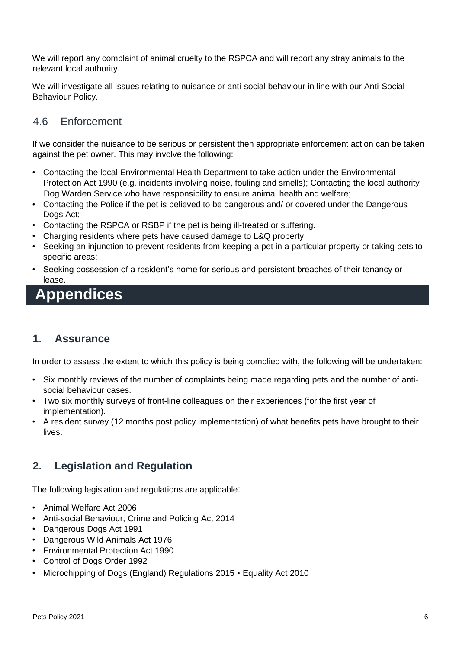We will report any complaint of animal cruelty to the RSPCA and will report any stray animals to the relevant local authority.

We will investigate all issues relating to nuisance or anti-social behaviour in line with our Anti-Social Behaviour Policy.

### 4.6 Enforcement

If we consider the nuisance to be serious or persistent then appropriate enforcement action can be taken against the pet owner. This may involve the following:

- Contacting the local Environmental Health Department to take action under the Environmental Protection Act 1990 (e.g. incidents involving noise, fouling and smells); Contacting the local authority Dog Warden Service who have responsibility to ensure animal health and welfare;
- Contacting the Police if the pet is believed to be dangerous and/ or covered under the Dangerous Dogs Act;
- Contacting the RSPCA or RSBP if the pet is being ill-treated or suffering.
- Charging residents where pets have caused damage to L&Q property;
- Seeking an injunction to prevent residents from keeping a pet in a particular property or taking pets to specific areas;
- Seeking possession of a resident's home for serious and persistent breaches of their tenancy or lease.

## **Appendices**

## **1. Assurance**

In order to assess the extent to which this policy is being complied with, the following will be undertaken:

- Six monthly reviews of the number of complaints being made regarding pets and the number of antisocial behaviour cases.
- Two six monthly surveys of front-line colleagues on their experiences (for the first year of implementation).
- A resident survey (12 months post policy implementation) of what benefits pets have brought to their lives.

## **2. Legislation and Regulation**

The following legislation and regulations are applicable:

- Animal Welfare Act 2006
- Anti-social Behaviour, Crime and Policing Act 2014
- Dangerous Dogs Act 1991
- Dangerous Wild Animals Act 1976
- Environmental Protection Act 1990
- Control of Dogs Order 1992
- Microchipping of Dogs (England) Regulations 2015 Equality Act 2010